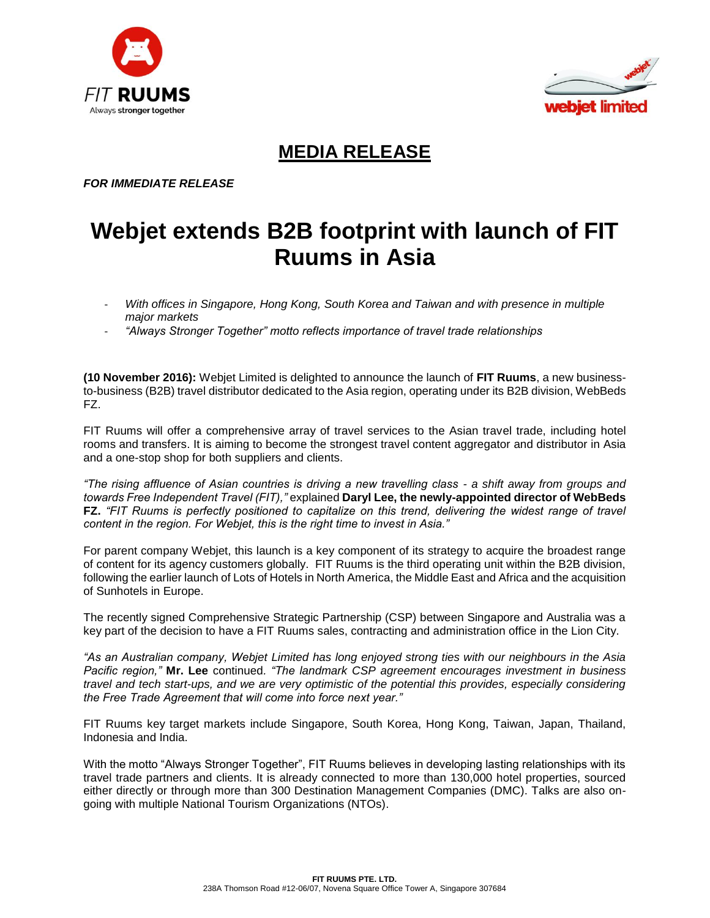



## **MEDIA RELEASE**

*FOR IMMEDIATE RELEASE*

## **Webjet extends B2B footprint with launch of FIT Ruums in Asia**

- *With offices in Singapore, Hong Kong, South Korea and Taiwan and with presence in multiple major markets*
- *"Always Stronger Together" motto reflects importance of travel trade relationships*

**(10 November 2016):** Webjet Limited is delighted to announce the launch of **FIT Ruums**, a new businessto-business (B2B) travel distributor dedicated to the Asia region, operating under its B2B division, WebBeds FZ.

FIT Ruums will offer a comprehensive array of travel services to the Asian travel trade, including hotel rooms and transfers. It is aiming to become the strongest travel content aggregator and distributor in Asia and a one-stop shop for both suppliers and clients.

*"The rising affluence of Asian countries is driving a new travelling class - a shift away from groups and towards Free Independent Travel (FIT),"* explained **Daryl Lee, the newly-appointed director of WebBeds FZ.** *"FIT Ruums is perfectly positioned to capitalize on this trend, delivering the widest range of travel content in the region. For Webjet, this is the right time to invest in Asia."*

For parent company Webjet, this launch is a key component of its strategy to acquire the broadest range of content for its agency customers globally. FIT Ruums is the third operating unit within the B2B division, following the earlier launch of Lots of Hotels in North America, the Middle East and Africa and the acquisition of Sunhotels in Europe.

The recently signed Comprehensive Strategic Partnership (CSP) between Singapore and Australia was a key part of the decision to have a FIT Ruums sales, contracting and administration office in the Lion City.

*"As an Australian company, Webjet Limited has long enjoyed strong ties with our neighbours in the Asia Pacific region,"* **Mr. Lee** continued*. "The landmark CSP agreement encourages investment in business travel and tech start-ups, and we are very optimistic of the potential this provides, especially considering the Free Trade Agreement that will come into force next year."*

FIT Ruums key target markets include Singapore, South Korea, Hong Kong, Taiwan, Japan, Thailand, Indonesia and India.

With the motto "Always Stronger Together", FIT Ruums believes in developing lasting relationships with its travel trade partners and clients. It is already connected to more than 130,000 hotel properties, sourced either directly or through more than 300 Destination Management Companies (DMC). Talks are also ongoing with multiple National Tourism Organizations (NTOs).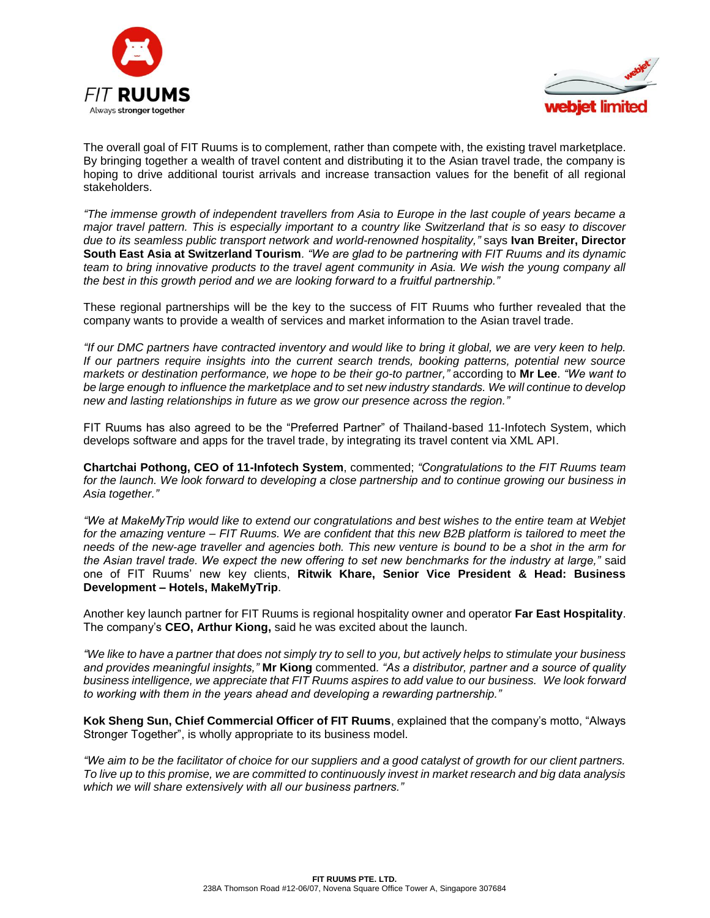



The overall goal of FIT Ruums is to complement, rather than compete with, the existing travel marketplace. By bringing together a wealth of travel content and distributing it to the Asian travel trade, the company is hoping to drive additional tourist arrivals and increase transaction values for the benefit of all regional stakeholders.

*"The immense growth of independent travellers from Asia to Europe in the last couple of years became a major travel pattern. This is especially important to a country like Switzerland that is so easy to discover due to its seamless public transport network and world-renowned hospitality,"* says **Ivan Breiter, Director South East Asia at Switzerland Tourism***. "We are glad to be partnering with FIT Ruums and its dynamic team to bring innovative products to the travel agent community in Asia. We wish the young company all the best in this growth period and we are looking forward to a fruitful partnership."*

These regional partnerships will be the key to the success of FIT Ruums who further revealed that the company wants to provide a wealth of services and market information to the Asian travel trade.

*"If our DMC partners have contracted inventory and would like to bring it global, we are very keen to help. If our partners require insights into the current search trends, booking patterns, potential new source markets or destination performance, we hope to be their go-to partner,"* according to **Mr Lee**. *"We want to be large enough to influence the marketplace and to set new industry standards. We will continue to develop new and lasting relationships in future as we grow our presence across the region."*

FIT Ruums has also agreed to be the "Preferred Partner" of Thailand-based 11-Infotech System, which develops software and apps for the travel trade, by integrating its travel content via XML API.

**Chartchai Pothong, CEO of 11-Infotech System**, commented; *"Congratulations to the FIT Ruums team for the launch. We look forward to developing a close partnership and to continue growing our business in Asia together."* 

*"We at MakeMyTrip would like to extend our congratulations and best wishes to the entire team at Webjet for the amazing venture – FIT Ruums. We are confident that this new B2B platform is tailored to meet the needs of the new-age traveller and agencies both. This new venture is bound to be a shot in the arm for the Asian travel trade. We expect the new offering to set new benchmarks for the industry at large,"* said one of FIT Ruums' new key clients, **Ritwik Khare, Senior Vice President & Head: Business Development – Hotels, MakeMyTrip**.

Another key launch partner for FIT Ruums is regional hospitality owner and operator **Far East Hospitality**. The company's **CEO, Arthur Kiong,** said he was excited about the launch.

*"We like to have a partner that does not simply try to sell to you, but actively helps to stimulate your business and provides meaningful insights,"* **Mr Kiong** commented*. "As a distributor, partner and a source of quality business intelligence, we appreciate that FIT Ruums aspires to add value to our business. We look forward to working with them in the years ahead and developing a rewarding partnership."*

**Kok Sheng Sun, Chief Commercial Officer of FIT Ruums**, explained that the company's motto, "Always Stronger Together", is wholly appropriate to its business model.

*"We aim to be the facilitator of choice for our suppliers and a good catalyst of growth for our client partners. To live up to this promise, we are committed to continuously invest in market research and big data analysis which we will share extensively with all our business partners."*